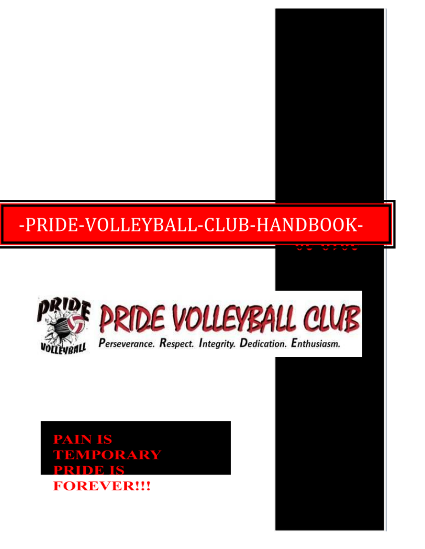# -PRIDE-VOLLEYBALL-CLUB-HANDBOOK-



**PATIN IS EMPORARY FOREVER!!!**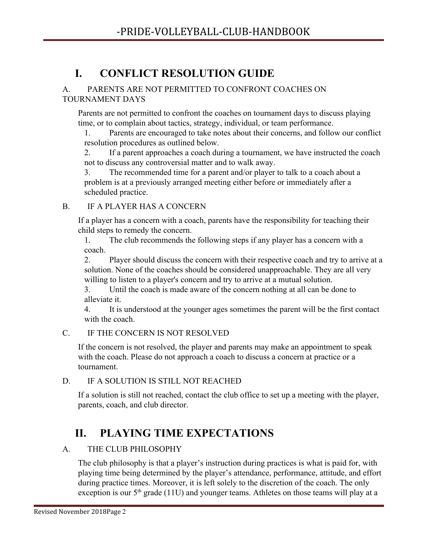# **I. CONFLICT RESOLUTION GUIDE**

#### A. PARENTS ARE NOT PERMITTED TO CONFRONT COACHES ON TOURNAMENT DAYS

Parents are not permitted to confront the coaches on tournament days to discuss playing time, or to complain about tactics, strategy, individual, or team performance.

1. Parents are encouraged to take notes about their concerns, and follow our conflict resolution procedures as outlined below.

2. If a parent approaches a coach during a tournament, we have instructed the coach not to discuss any controversial matter and to walk away.

3. The recommended time for a parent and/or player to talk to a coach about a problem is at a previously arranged meeting either before or immediately after a scheduled practice.

# B. IF A PLAYER HAS A CONCERN

If a player has a concern with a coach, parents have the responsibility for teaching their child steps to remedy the concern.

1. The club recommends the following steps if any player has a concern with a coach.

2. Player should discuss the concern with their respective coach and try to arrive at a solution. None of the coaches should be considered unapproachable. They are all very willing to listen to a player's concern and try to arrive at a mutual solution.

3. Until the coach is made aware of the concern nothing at all can be done to alleviate it.

4. It is understood at the younger ages sometimes the parent will be the first contact with the coach.

# C. IF THE CONCERN IS NOT RESOLVED

If the concern is not resolved, the player and parents may make an appointment to speak with the coach. Please do not approach a coach to discuss a concern at practice or a tournament.

# D. IF A SOLUTION IS STILL NOT REACHED

If a solution is still not reached, contact the club office to set up a meeting with the player, parents, coach, and club director.

# **II. PLAYING TIME EXPECTATIONS**

# A. THE CLUB PHILOSOPHY

The club philosophy is that a player's instruction during practices is what is paid for, with playing time being determined by the player's attendance, performance, attitude, and effort during practice times. Moreover, it is left solely to the discretion of the coach. The only exception is our  $5<sup>th</sup>$  grade (11U) and younger teams. Athletes on those teams will play at a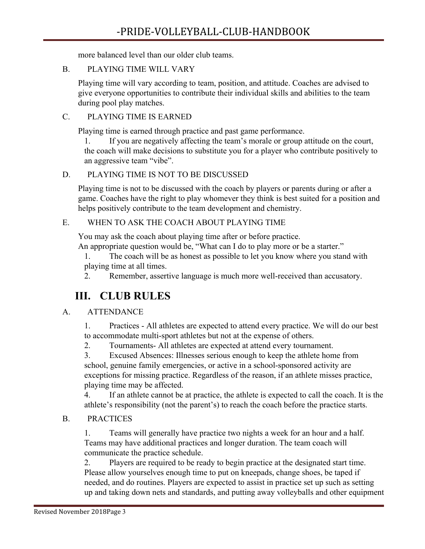more balanced level than our older club teams.

### B. PLAYING TIME WILL VARY

Playing time will vary according to team, position, and attitude. Coaches are advised to give everyone opportunities to contribute their individual skills and abilities to the team during pool play matches.

# C. PLAYING TIME IS EARNED

Playing time is earned through practice and past game performance.

1. If you are negatively affecting the team's morale or group attitude on the court, the coach will make decisions to substitute you for a player who contribute positively to an aggressive team "vibe".

# D. PLAYING TIME IS NOT TO BE DISCUSSED

Playing time is not to be discussed with the coach by players or parents during or after a game. Coaches have the right to play whomever they think is best suited for a position and helps positively contribute to the team development and chemistry.

# E. WHEN TO ASK THE COACH ABOUT PLAYING TIME

You may ask the coach about playing time after or before practice.

An appropriate question would be, "What can I do to play more or be a starter."

1. The coach will be as honest as possible to let you know where you stand with playing time at all times.

2. Remember, assertive language is much more well-received than accusatory.

# **III. CLUB RULES**

# A. ATTENDANCE

1. Practices - All athletes are expected to attend every practice. We will do our best to accommodate multi-sport athletes but not at the expense of others.

2. Tournaments- All athletes are expected at attend every tournament.

3. Excused Absences: Illnesses serious enough to keep the athlete home from school, genuine family emergencies, or active in a school-sponsored activity are exceptions for missing practice. Regardless of the reason, if an athlete misses practice, playing time may be affected.

4. If an athlete cannot be at practice, the athlete is expected to call the coach. It is the athlete's responsibility (not the parent's) to reach the coach before the practice starts.

# B. PRACTICES

1. Teams will generally have practice two nights a week for an hour and a half. Teams may have additional practices and longer duration. The team coach will communicate the practice schedule.

2. Players are required to be ready to begin practice at the designated start time. Please allow yourselves enough time to put on kneepads, change shoes, be taped if needed, and do routines. Players are expected to assist in practice set up such as setting up and taking down nets and standards, and putting away volleyballs and other equipment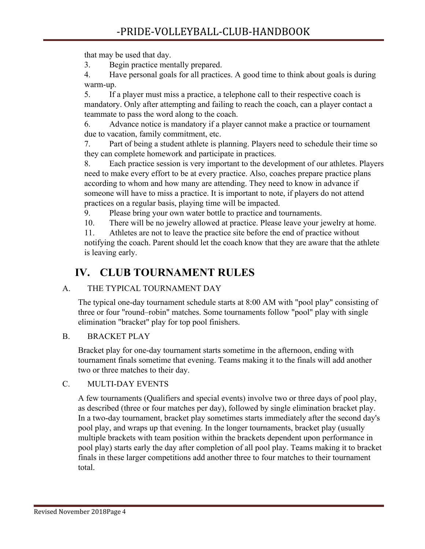that may be used that day.

3. Begin practice mentally prepared.

4. Have personal goals for all practices. A good time to think about goals is during warm-up.

5. If a player must miss a practice, a telephone call to their respective coach is mandatory. Only after attempting and failing to reach the coach, can a player contact a teammate to pass the word along to the coach.

6. Advance notice is mandatory if a player cannot make a practice or tournament due to vacation, family commitment, etc.

7. Part of being a student athlete is planning. Players need to schedule their time so they can complete homework and participate in practices.

8. Each practice session is very important to the development of our athletes. Players need to make every effort to be at every practice. Also, coaches prepare practice plans according to whom and how many are attending. They need to know in advance if someone will have to miss a practice. It is important to note, if players do not attend practices on a regular basis, playing time will be impacted.

9. Please bring your own water bottle to practice and tournaments.

10. There will be no jewelry allowed at practice. Please leave your jewelry at home.

11. Athletes are not to leave the practice site before the end of practice without notifying the coach. Parent should let the coach know that they are aware that the athlete is leaving early.

# **IV. CLUB TOURNAMENT RULES**

# A. THE TYPICAL TOURNAMENT DAY

The typical one-day tournament schedule starts at 8:00 AM with "pool play" consisting of three or four "round–robin" matches. Some tournaments follow "pool" play with single elimination "bracket" play for top pool finishers.

# B. BRACKET PLAY

Bracket play for one-day tournament starts sometime in the afternoon, ending with tournament finals sometime that evening. Teams making it to the finals will add another two or three matches to their day.

### C. MULTI-DAY EVENTS

A few tournaments (Qualifiers and special events) involve two or three days of pool play, as described (three or four matches per day), followed by single elimination bracket play. In a two-day tournament, bracket play sometimes starts immediately after the second day's pool play, and wraps up that evening. In the longer tournaments, bracket play (usually multiple brackets with team position within the brackets dependent upon performance in pool play) starts early the day after completion of all pool play. Teams making it to bracket finals in these larger competitions add another three to four matches to their tournament total.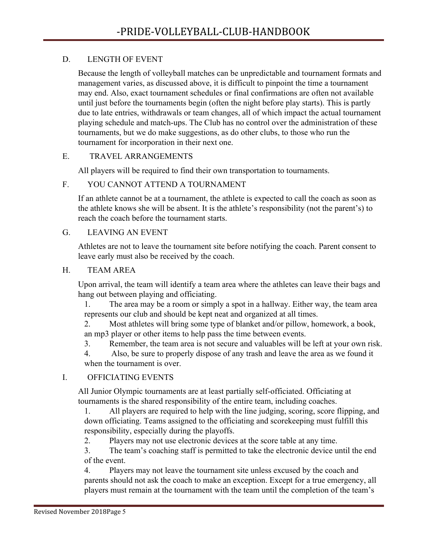### D. LENGTH OF EVENT

Because the length of volleyball matches can be unpredictable and tournament formats and management varies, as discussed above, it is difficult to pinpoint the time a tournament may end. Also, exact tournament schedules or final confirmations are often not available until just before the tournaments begin (often the night before play starts). This is partly due to late entries, withdrawals or team changes, all of which impact the actual tournament playing schedule and match-ups. The Club has no control over the administration of these tournaments, but we do make suggestions, as do other clubs, to those who run the tournament for incorporation in their next one.

#### E. TRAVEL ARRANGEMENTS

All players will be required to find their own transportation to tournaments.

#### F. YOU CANNOT ATTEND A TOURNAMENT

If an athlete cannot be at a tournament, the athlete is expected to call the coach as soon as the athlete knows she will be absent. It is the athlete's responsibility (not the parent's) to reach the coach before the tournament starts.

#### G. LEAVING AN EVENT

Athletes are not to leave the tournament site before notifying the coach. Parent consent to leave early must also be received by the coach.

#### H. TEAM AREA

Upon arrival, the team will identify a team area where the athletes can leave their bags and hang out between playing and officiating.

1. The area may be a room or simply a spot in a hallway. Either way, the team area represents our club and should be kept neat and organized at all times.

2. Most athletes will bring some type of blanket and/or pillow, homework, a book, an mp3 player or other items to help pass the time between events.

3. Remember, the team area is not secure and valuables will be left at your own risk.

4. Also, be sure to properly dispose of any trash and leave the area as we found it when the tournament is over.

#### I. OFFICIATING EVENTS

All Junior Olympic tournaments are at least partially self-officiated. Officiating at tournaments is the shared responsibility of the entire team, including coaches.

1. All players are required to help with the line judging, scoring, score flipping, and down officiating. Teams assigned to the officiating and scorekeeping must fulfill this responsibility, especially during the playoffs.

2. Players may not use electronic devices at the score table at any time.

3. The team's coaching staff is permitted to take the electronic device until the end of the event.

4. Players may not leave the tournament site unless excused by the coach and parents should not ask the coach to make an exception. Except for a true emergency, all players must remain at the tournament with the team until the completion of the team's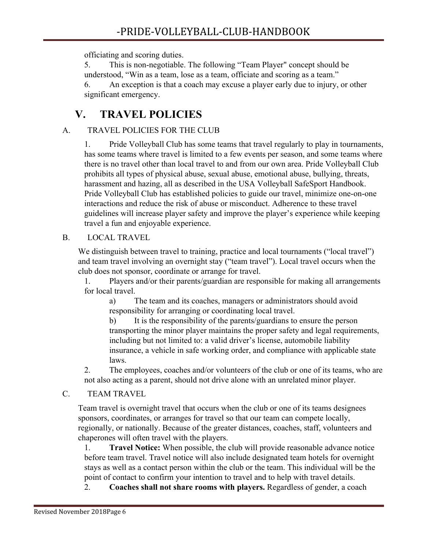officiating and scoring duties.

5. This is non-negotiable. The following "Team Player" concept should be understood, "Win as a team, lose as a team, officiate and scoring as a team." 6. An exception is that a coach may excuse a player early due to injury, or other significant emergency.

# **V. TRAVEL POLICIES**

# A. TRAVEL POLICIES FOR THE CLUB

1. Pride Volleyball Club has some teams that travel regularly to play in tournaments, has some teams where travel is limited to a few events per season, and some teams where there is no travel other than local travel to and from our own area. Pride Volleyball Club prohibits all types of physical abuse, sexual abuse, emotional abuse, bullying, threats, harassment and hazing, all as described in the USA Volleyball SafeSport Handbook. Pride Volleyball Club has established policies to guide our travel, minimize one-on-one interactions and reduce the risk of abuse or misconduct. Adherence to these travel guidelines will increase player safety and improve the player's experience while keeping travel a fun and enjoyable experience.

### B. LOCAL TRAVEL

We distinguish between travel to training, practice and local tournaments ("local travel") and team travel involving an overnight stay ("team travel"). Local travel occurs when the club does not sponsor, coordinate or arrange for travel.

1. Players and/or their parents/guardian are responsible for making all arrangements for local travel.

a) The team and its coaches, managers or administrators should avoid responsibility for arranging or coordinating local travel.

b) It is the responsibility of the parents/guardians to ensure the person transporting the minor player maintains the proper safety and legal requirements, including but not limited to: a valid driver's license, automobile liability insurance, a vehicle in safe working order, and compliance with applicable state laws.

2. The employees, coaches and/or volunteers of the club or one of its teams, who are not also acting as a parent, should not drive alone with an unrelated minor player.

# C. TEAM TRAVEL

Team travel is overnight travel that occurs when the club or one of its teams designees sponsors, coordinates, or arranges for travel so that our team can compete locally, regionally, or nationally. Because of the greater distances, coaches, staff, volunteers and chaperones will often travel with the players.

1. **Travel Notice:** When possible, the club will provide reasonable advance notice before team travel. Travel notice will also include designated team hotels for overnight stays as well as a contact person within the club or the team. This individual will be the point of contact to confirm your intention to travel and to help with travel details.

2. **Coaches shall not share rooms with players.** Regardless of gender, a coach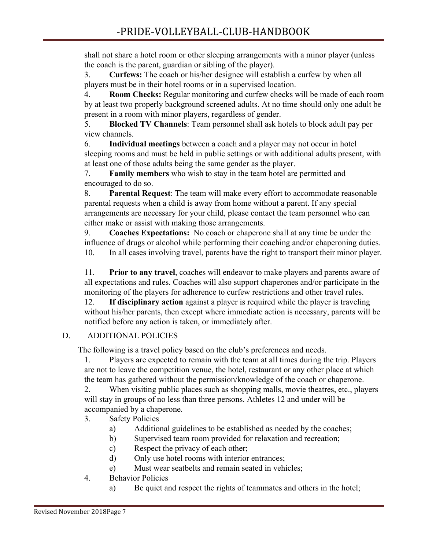shall not share a hotel room or other sleeping arrangements with a minor player (unless the coach is the parent, guardian or sibling of the player).

3. **Curfews:** The coach or his/her designee will establish a curfew by when all players must be in their hotel rooms or in a supervised location.

4. **Room Checks:** Regular monitoring and curfew checks will be made of each room by at least two properly background screened adults. At no time should only one adult be present in a room with minor players, regardless of gender.

5. **Blocked TV Channels**: Team personnel shall ask hotels to block adult pay per view channels.

6. **Individual meetings** between a coach and a player may not occur in hotel sleeping rooms and must be held in public settings or with additional adults present, with at least one of those adults being the same gender as the player.

7. **Family members** who wish to stay in the team hotel are permitted and encouraged to do so.

8. **Parental Request**: The team will make every effort to accommodate reasonable parental requests when a child is away from home without a parent. If any special arrangements are necessary for your child, please contact the team personnel who can either make or assist with making those arrangements.

9. **Coaches Expectations:** No coach or chaperone shall at any time be under the influence of drugs or alcohol while performing their coaching and/or chaperoning duties. 10. In all cases involving travel, parents have the right to transport their minor player.

11. **Prior to any travel**, coaches will endeavor to make players and parents aware of all expectations and rules. Coaches will also support chaperones and/or participate in the monitoring of the players for adherence to curfew restrictions and other travel rules.

12. **If disciplinary action** against a player is required while the player is traveling without his/her parents, then except where immediate action is necessary, parents will be notified before any action is taken, or immediately after.

# D. ADDITIONAL POLICIES

The following is a travel policy based on the club's preferences and needs.

1. Players are expected to remain with the team at all times during the trip. Players are not to leave the competition venue, the hotel, restaurant or any other place at which the team has gathered without the permission/knowledge of the coach or chaperone.

2. When visiting public places such as shopping malls, movie theatres, etc., players will stay in groups of no less than three persons. Athletes 12 and under will be accompanied by a chaperone.

- 3. Safety Policies
	- a) Additional guidelines to be established as needed by the coaches;
	- b) Supervised team room provided for relaxation and recreation;
	- c) Respect the privacy of each other;
	- d) Only use hotel rooms with interior entrances;
	- e) Must wear seatbelts and remain seated in vehicles;
- 4. Behavior Policies
	- a) Be quiet and respect the rights of teammates and others in the hotel;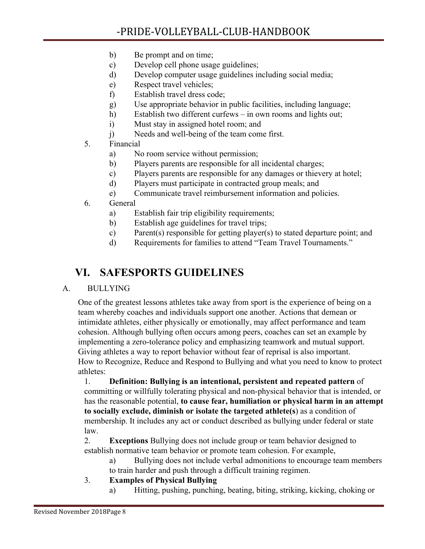- b) Be prompt and on time;
- c) Develop cell phone usage guidelines;
- d) Develop computer usage guidelines including social media;
- e) Respect travel vehicles;
- f) Establish travel dress code;
- g) Use appropriate behavior in public facilities, including language;
- h) Establish two different curfews in own rooms and lights out;
- i) Must stay in assigned hotel room; and
- j) Needs and well-being of the team come first.
- 5. Financial
	- a) No room service without permission;
	- b) Players parents are responsible for all incidental charges;
	- c) Players parents are responsible for any damages or thievery at hotel;
	- d) Players must participate in contracted group meals; and
	- e) Communicate travel reimbursement information and policies.
- 6. General
	- a) Establish fair trip eligibility requirements;
	- b) Establish age guidelines for travel trips;
	- c) Parent(s) responsible for getting player(s) to stated departure point; and
	- d) Requirements for families to attend "Team Travel Tournaments."

# **VI. SAFESPORTS GUIDELINES**

### A. BULLYING

One of the greatest lessons athletes take away from sport is the experience of being on a team whereby coaches and individuals support one another. Actions that demean or intimidate athletes, either physically or emotionally, may affect performance and team cohesion. Although bullying often occurs among peers, coaches can set an example by implementing a zero-tolerance policy and emphasizing teamwork and mutual support. Giving athletes a way to report behavior without fear of reprisal is also important. How to Recognize, Reduce and Respond to Bullying and what you need to know to protect athletes:

1. **Definition: Bullying is an intentional, persistent and repeated pattern** of committing or willfully tolerating physical and non-physical behavior that is intended, or has the reasonable potential, **to cause fear, humiliation or physical harm in an attempt to socially exclude, diminish or isolate the targeted athlete(s**) as a condition of membership. It includes any act or conduct described as bullying under federal or state law.

2. **Exceptions** Bullying does not include group or team behavior designed to establish normative team behavior or promote team cohesion. For example,

- a) Bullying does not include verbal admonitions to encourage team members to train harder and push through a difficult training regimen.
- 3. **Examples of Physical Bullying**
	- a) Hitting, pushing, punching, beating, biting, striking, kicking, choking or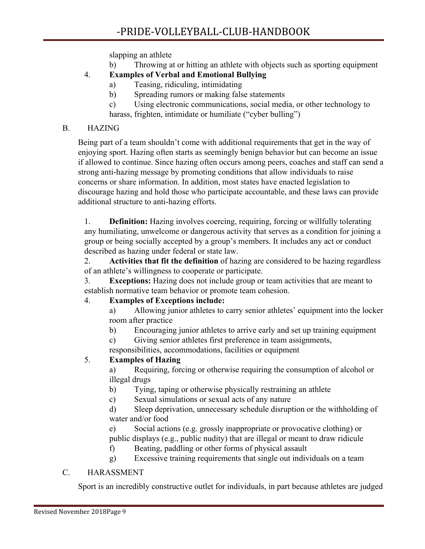slapping an athlete

b) Throwing at or hitting an athlete with objects such as sporting equipment

# 4. **Examples of Verbal and Emotional Bullying**

- a) Teasing, ridiculing, intimidating
- b) Spreading rumors or making false statements
- c) Using electronic communications, social media, or other technology to harass, frighten, intimidate or humiliate ("cyber bulling")

### B. HAZING

Being part of a team shouldn't come with additional requirements that get in the way of enjoying sport. Hazing often starts as seemingly benign behavior but can become an issue if allowed to continue. Since hazing often occurs among peers, coaches and staff can send a strong anti-hazing message by promoting conditions that allow individuals to raise concerns or share information. In addition, most states have enacted legislation to discourage hazing and hold those who participate accountable, and these laws can provide additional structure to anti-hazing efforts.

1. **Definition:** Hazing involves coercing, requiring, forcing or willfully tolerating any humiliating, unwelcome or dangerous activity that serves as a condition for joining a group or being socially accepted by a group's members. It includes any act or conduct described as hazing under federal or state law.

2. **Activities that fit the definition** of hazing are considered to be hazing regardless of an athlete's willingness to cooperate or participate.

3. **Exceptions:** Hazing does not include group or team activities that are meant to establish normative team behavior or promote team cohesion.

### 4. **Examples of Exceptions include:**

a) Allowing junior athletes to carry senior athletes' equipment into the locker room after practice

b) Encouraging junior athletes to arrive early and set up training equipment

c) Giving senior athletes first preference in team assignments, responsibilities, accommodations, facilities or equipment

### 5. **Examples of Hazing**

a) Requiring, forcing or otherwise requiring the consumption of alcohol or illegal drugs

- b) Tying, taping or otherwise physically restraining an athlete
- c) Sexual simulations or sexual acts of any nature

d) Sleep deprivation, unnecessary schedule disruption or the withholding of water and/or food

e) Social actions (e.g. grossly inappropriate or provocative clothing) or public displays (e.g., public nudity) that are illegal or meant to draw ridicule

f) Beating, paddling or other forms of physical assault

g) Excessive training requirements that single out individuals on a team

### C. HARASSMENT

Sport is an incredibly constructive outlet for individuals, in part because athletes are judged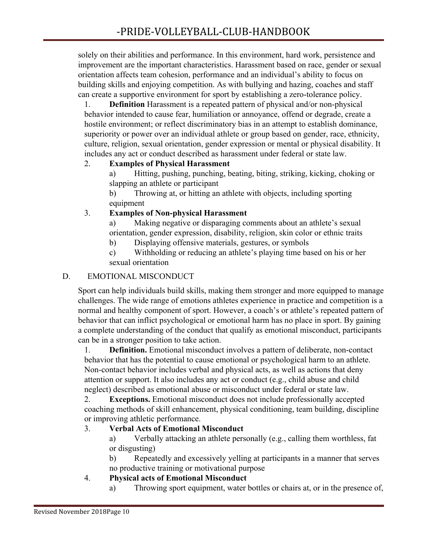solely on their abilities and performance. In this environment, hard work, persistence and improvement are the important characteristics. Harassment based on race, gender or sexual orientation affects team cohesion, performance and an individual's ability to focus on building skills and enjoying competition. As with bullying and hazing, coaches and staff can create a supportive environment for sport by establishing a zero-tolerance policy.

1. **Definition** Harassment is a repeated pattern of physical and/or non-physical behavior intended to cause fear, humiliation or annoyance, offend or degrade, create a hostile environment; or reflect discriminatory bias in an attempt to establish dominance, superiority or power over an individual athlete or group based on gender, race, ethnicity, culture, religion, sexual orientation, gender expression or mental or physical disability. It includes any act or conduct described as harassment under federal or state law.

# 2. **Examples of Physical Harassment**

a) Hitting, pushing, punching, beating, biting, striking, kicking, choking or slapping an athlete or participant

b) Throwing at, or hitting an athlete with objects, including sporting equipment

### 3. **Examples of Non-physical Harassment**

a) Making negative or disparaging comments about an athlete's sexual orientation, gender expression, disability, religion, skin color or ethnic traits

b) Displaying offensive materials, gestures, or symbols

c) Withholding or reducing an athlete's playing time based on his or her sexual orientation

# D. EMOTIONAL MISCONDUCT

Sport can help individuals build skills, making them stronger and more equipped to manage challenges. The wide range of emotions athletes experience in practice and competition is a normal and healthy component of sport. However, a coach's or athlete's repeated pattern of behavior that can inflict psychological or emotional harm has no place in sport. By gaining a complete understanding of the conduct that qualify as emotional misconduct, participants can be in a stronger position to take action.

1. **Definition.** Emotional misconduct involves a pattern of deliberate, non-contact behavior that has the potential to cause emotional or psychological harm to an athlete. Non-contact behavior includes verbal and physical acts, as well as actions that deny attention or support. It also includes any act or conduct (e.g., child abuse and child neglect) described as emotional abuse or misconduct under federal or state law.

2. **Exceptions.** Emotional misconduct does not include professionally accepted coaching methods of skill enhancement, physical conditioning, team building, discipline or improving athletic performance.

### 3. **Verbal Acts of Emotional Misconduct**

a) Verbally attacking an athlete personally (e.g., calling them worthless, fat or disgusting)

b) Repeatedly and excessively yelling at participants in a manner that serves no productive training or motivational purpose

# 4. **Physical acts of Emotional Misconduct**

a) Throwing sport equipment, water bottles or chairs at, or in the presence of,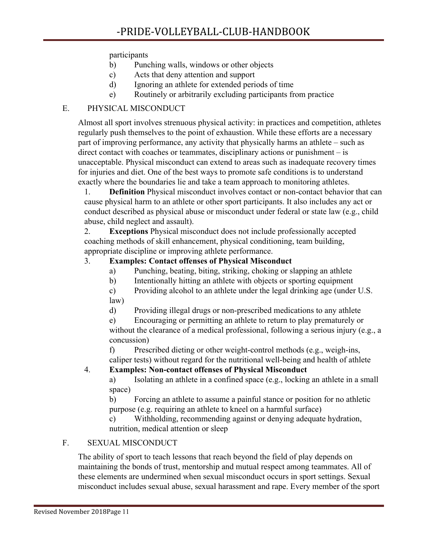#### participants

- b) Punching walls, windows or other objects
- c) Acts that deny attention and support
- d) Ignoring an athlete for extended periods of time
- e) Routinely or arbitrarily excluding participants from practice

### E. PHYSICAL MISCONDUCT

Almost all sport involves strenuous physical activity: in practices and competition, athletes regularly push themselves to the point of exhaustion. While these efforts are a necessary part of improving performance, any activity that physically harms an athlete – such as direct contact with coaches or teammates, disciplinary actions or punishment – is unacceptable. Physical misconduct can extend to areas such as inadequate recovery times for injuries and diet. One of the best ways to promote safe conditions is to understand exactly where the boundaries lie and take a team approach to monitoring athletes.

1. **Definition** Physical misconduct involves contact or non-contact behavior that can cause physical harm to an athlete or other sport participants. It also includes any act or conduct described as physical abuse or misconduct under federal or state law (e.g., child abuse, child neglect and assault).

2. **Exceptions** Physical misconduct does not include professionally accepted coaching methods of skill enhancement, physical conditioning, team building, appropriate discipline or improving athlete performance.

#### 3. **Examples: Contact offenses of Physical Misconduct**

- a) Punching, beating, biting, striking, choking or slapping an athlete
- b) Intentionally hitting an athlete with objects or sporting equipment
- c) Providing alcohol to an athlete under the legal drinking age (under U.S. law)
- d) Providing illegal drugs or non-prescribed medications to any athlete

e) Encouraging or permitting an athlete to return to play prematurely or without the clearance of a medical professional, following a serious injury (e.g., a concussion)

f) Prescribed dieting or other weight-control methods (e.g., weigh-ins, caliper tests) without regard for the nutritional well-being and health of athlete

### 4. **Examples: Non-contact offenses of Physical Misconduct**

a) Isolating an athlete in a confined space (e.g., locking an athlete in a small space)

b) Forcing an athlete to assume a painful stance or position for no athletic purpose (e.g. requiring an athlete to kneel on a harmful surface)

c) Withholding, recommending against or denying adequate hydration, nutrition, medical attention or sleep

### F. SEXUAL MISCONDUCT

The ability of sport to teach lessons that reach beyond the field of play depends on maintaining the bonds of trust, mentorship and mutual respect among teammates. All of these elements are undermined when sexual misconduct occurs in sport settings. Sexual misconduct includes sexual abuse, sexual harassment and rape. Every member of the sport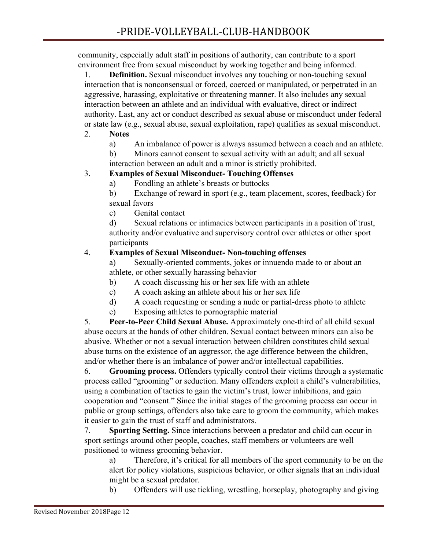community, especially adult staff in positions of authority, can contribute to a sport environment free from sexual misconduct by working together and being informed.

1. **Definition.** Sexual misconduct involves any touching or non-touching sexual interaction that is nonconsensual or forced, coerced or manipulated, or perpetrated in an aggressive, harassing, exploitative or threatening manner. It also includes any sexual interaction between an athlete and an individual with evaluative, direct or indirect authority. Last, any act or conduct described as sexual abuse or misconduct under federal or state law (e.g., sexual abuse, sexual exploitation, rape) qualifies as sexual misconduct.

#### 2. **Notes**

a) An imbalance of power is always assumed between a coach and an athlete.

b) Minors cannot consent to sexual activity with an adult; and all sexual interaction between an adult and a minor is strictly prohibited.

### 3. **Examples of Sexual Misconduct- Touching Offenses**

a) Fondling an athlete's breasts or buttocks

b) Exchange of reward in sport (e.g., team placement, scores, feedback) for sexual favors

c) Genital contact

d) Sexual relations or intimacies between participants in a position of trust, authority and/or evaluative and supervisory control over athletes or other sport participants

#### 4. **Examples of Sexual Misconduct- Non-touching offenses**

a) Sexually-oriented comments, jokes or innuendo made to or about an athlete, or other sexually harassing behavior

- b) A coach discussing his or her sex life with an athlete
- c) A coach asking an athlete about his or her sex life
- d) A coach requesting or sending a nude or partial-dress photo to athlete
- e) Exposing athletes to pornographic material

5. **Peer-to-Peer Child Sexual Abuse.** Approximately one-third of all child sexual abuse occurs at the hands of other children. Sexual contact between minors can also be abusive. Whether or not a sexual interaction between children constitutes child sexual abuse turns on the existence of an aggressor, the age difference between the children, and/or whether there is an imbalance of power and/or intellectual capabilities.

6. **[Grooming process](http://safesport.org/what-is-safesport/misconduct-in-sport/child-sexual-abuse/).** Offenders typically control their victims through a systematic process called "grooming" or seduction. Many offenders exploit a child's vulnerabilities, using a combination of tactics to gain the victim's trust, lower inhibitions, and gain cooperation and "consent." Since the initial stages of the grooming process can occur in public or group settings, offenders also take care to groom the community, which makes it easier to gain the trust of staff and administrators.

7. **Sporting Setting.** Since interactions between a predator and child can occur in sport settings around other people, coaches, staff members or volunteers are well positioned to witness grooming behavior.

a) Therefore, it's critical for all members of the sport community to be on the alert for policy violations, suspicious behavior, or other signals that an individual might be a sexual predator.

b) Offenders will use tickling, wrestling, horseplay, photography and giving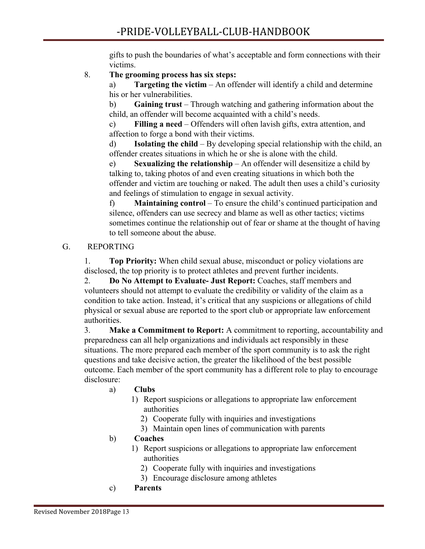gifts to push the boundaries of what's acceptable and form connections with their victims.

### 8. **The grooming process has six steps:**

a) **Targeting the victim** – An offender will identify a child and determine his or her vulnerabilities.

b) **Gaining trust** – Through watching and gathering information about the child, an offender will become acquainted with a child's needs.

c) **Filling a need** – Offenders will often lavish gifts, extra attention, and affection to forge a bond with their victims.

d) **Isolating the child** – By developing special relationship with the child, an offender creates situations in which he or she is alone with the child.

e) **Sexualizing the relationship** – An offender will desensitize a child by talking to, taking photos of and even creating situations in which both the offender and victim are touching or naked. The adult then uses a child's curiosity and feelings of stimulation to engage in sexual activity.

f) **Maintaining control** – To ensure the child's continued participation and silence, offenders can use secrecy and blame as well as other tactics; victims sometimes continue the relationship out of fear or shame at the thought of having to tell someone about the abuse.

### G. REPORTING

1. **Top Priority:** When child sexual abuse, misconduct or policy violations are disclosed, the top priority is to protect athletes and prevent further incidents.

2. **Do No Attempt to Evaluate- Just Report:** Coaches, staff members and volunteers should not attempt to evaluate the credibility or validity of the claim as a condition to take action. Instead, it's critical that any suspicions or allegations of child physical or sexual abuse are reported to the sport club or appropriate law enforcement authorities.

3. **Make a Commitment to Report:** A commitment to reporting, accountability and preparedness can all help organizations and individuals act responsibly in these situations. The more prepared each member of the sport community is to ask the right questions and take decisive action, the greater the likelihood of the best possible outcome. Each member of the sport community has a different role to play to encourage disclosure:

### a) **Clubs**

- 1) Report suspicions or allegations to appropriate law enforcement authorities
	- 2) Cooperate fully with inquiries and investigations
	- 3) Maintain open lines of communication with parents

### b) **Coaches**

- 1) Report suspicions or allegations to appropriate law enforcement authorities
	- 2) Cooperate fully with inquiries and investigations
	- 3) Encourage disclosure among athletes
- c) **Parents**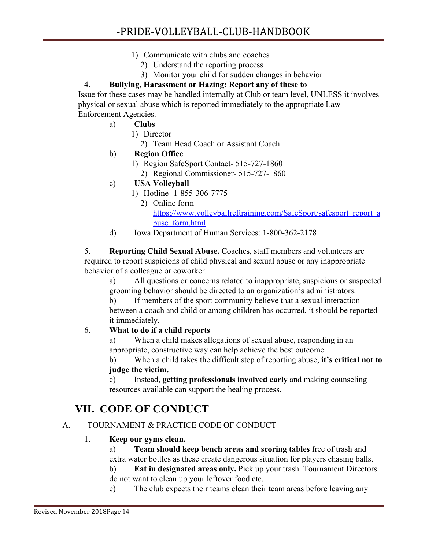- 1) Communicate with clubs and coaches
	- 2) Understand the reporting process
	- 3) Monitor your child for sudden changes in behavior

# 4. **Bullying, Harassment or Hazing: Report any of these to**

Issue for these cases may be handled internally at Club or team level, UNLESS it involves physical or sexual abuse which is reported immediately to the appropriate Law Enforcement Agencies.

- a) **Clubs**
	- 1) Director
		- 2) Team Head Coach or Assistant Coach
- b) **Region Office**
	- 1) Region SafeSport Contact- 515-727-1860
		- 2) Regional Commissioner- 515-727-1860
- c) **USA Volleyball**
	- 1) Hotline- 1-855-306-7775
		- 2) Online form [https://www.volleyballreftraining.com/SafeSport/safesport\\_report\\_a](https://www.volleyballreftraining.com/SafeSport/safesport_report_abuse_form.html) [buse\\_form.html](https://www.volleyballreftraining.com/SafeSport/safesport_report_abuse_form.html)
- d) Iowa Department of Human Services: 1-800-362-2178

5. **Reporting Child Sexual Abuse.** Coaches, staff members and volunteers are required to report suspicions of child physical and sexual abuse or any inappropriate behavior of a colleague or coworker.

a) All questions or concerns related to inappropriate, suspicious or suspected grooming behavior should be directed to an organization's administrators.

b) If members of the sport community believe that a sexual interaction between a coach and child or among children has occurred, it should be reported it immediately.

### 6. **[What to do if a child reports](http://safesport.org/what-is-safesport/misconduct-in-sport/child-sexual-abuse/)**

a) When a child makes allegations of sexual abuse, responding in an appropriate, constructive way can help achieve the best outcome.

b) When a child takes the difficult step of reporting abuse, **it's critical not to judge the victim.**

c) Instead, **getting professionals involved early** and making counseling resources available can support the healing process.

# **VII. CODE OF CONDUCT**

### A. TOURNAMENT & PRACTICE CODE OF CONDUCT

### 1. **Keep our gyms clean.**

a) **Team should keep bench areas and scoring tables** free of trash and extra water bottles as these create dangerous situation for players chasing balls.

b) **Eat in designated areas only.** Pick up your trash. Tournament Directors do not want to clean up your leftover food etc.

c) The club expects their teams clean their team areas before leaving any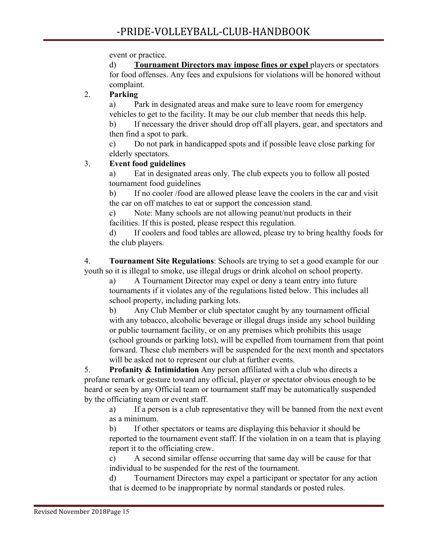event or practice.

d) **Tournament Directors may impose fines or expel** players or spectators for food offenses. Any fees and expulsions for violations will be honored without complaint.

# 2. **Parking**

a) Park in designated areas and make sure to leave room for emergency vehicles to get to the facility. It may be our club member that needs this help. b) If necessary the driver should drop off all players, gear, and spectators and then find a spot to park.

c) Do not park in handicapped spots and if possible leave close parking for elderly spectators.

# 3. **Event food guidelines**

a) Eat in designated areas only. The club expects you to follow all posted tournament food guidelines

b) If no cooler /food are allowed please leave the coolers in the car and visit the car on off matches to eat or support the concession stand.

c) Note: Many schools are not allowing peanut/nut products in their facilities. If this is posted, please respect this regulation.

d) If coolers and food tables are allowed, please try to bring healthy foods for the club players.

4. **Tournament Site Regulations**: Schools are trying to set a good example for our youth so it is illegal to smoke, use illegal drugs or drink alcohol on school property.

a) A Tournament Director may expel or deny a team entry into future tournaments if it violates any of the regulations listed below. This includes all school property, including parking lots.

b) Any Club Member or club spectator caught by any tournament official with any tobacco, alcoholic beverage or illegal drugs inside any school building or public tournament facility, or on any premises which prohibits this usage (school grounds or parking lots), will be expelled from tournament from that point forward. These club members will be suspended for the next month and spectators will be asked not to represent our club at further events.

5. **Profanity & Intimidation** Any person affiliated with a club who directs a profane remark or gesture toward any official, player or spectator obvious enough to be heard or seen by any Official team or tournament staff may be automatically suspended by the officiating team or event staff.

a) If a person is a club representative they will be banned from the next event as a minimum.

b) If other spectators or teams are displaying this behavior it should be reported to the tournament event staff. If the violation in on a team that is playing report it to the officiating crew.

c) A second similar offense occurring that same day will be cause for that individual to be suspended for the rest of the tournament.

d) Tournament Directors may expel a participant or spectator for any action that is deemed to be inappropriate by normal standards or posted rules.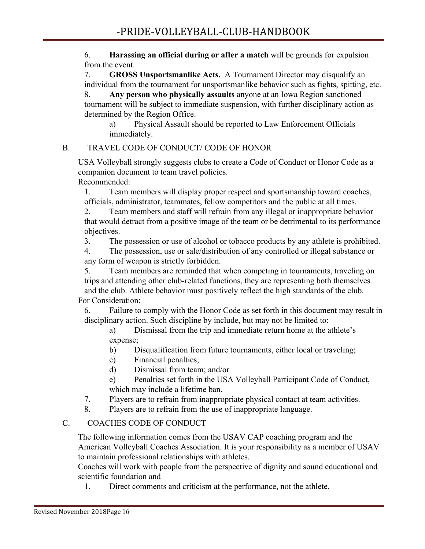6. **Harassing an official during or after a match** will be grounds for expulsion from the event.

7. **GROSS Unsportsmanlike Acts.** A Tournament Director may disqualify an individual from the tournament for unsportsmanlike behavior such as fights, spitting, etc.

8. **Any person who physically assaults** anyone at an Iowa Region sanctioned tournament will be subject to immediate suspension, with further disciplinary action as determined by the Region Office.

a) Physical Assault should be reported to Law Enforcement Officials immediately.

### B. TRAVEL CODE OF CONDUCT/ CODE OF HONOR

USA Volleyball strongly suggests clubs to create a Code of Conduct or Honor Code as a companion document to team travel policies.

Recommended:

1. Team members will display proper respect and sportsmanship toward coaches, officials, administrator, teammates, fellow competitors and the public at all times.

2. Team members and staff will refrain from any illegal or inappropriate behavior that would detract from a positive image of the team or be detrimental to its performance objectives.

3. The possession or use of alcohol or tobacco products by any athlete is prohibited.

4. The possession, use or sale/distribution of any controlled or illegal substance or any form of weapon is strictly forbidden.

5. Team members are reminded that when competing in tournaments, traveling on trips and attending other club-related functions, they are representing both themselves and the club. Athlete behavior must positively reflect the high standards of the club. For Consideration:

6. Failure to comply with the Honor Code as set forth in this document may result in disciplinary action. Such discipline by include, but may not be limited to:

a) Dismissal from the trip and immediate return home at the athlete's expense;

- b) Disqualification from future tournaments, either local or traveling;
- c) Financial penalties;
- d) Dismissal from team; and/or
- e) Penalties set forth in the USA Volleyball Participant Code of Conduct, which may include a lifetime ban.
- 7. Players are to refrain from inappropriate physical contact at team activities.
- 8. Players are to refrain from the use of inappropriate language.

# C. COACHES CODE OF CONDUCT

The following information comes from the USAV CAP coaching program and the American Volleyball Coaches Association. It is your responsibility as a member of USAV to maintain professional relationships with athletes.

Coaches will work with people from the perspective of dignity and sound educational and scientific foundation and

1. Direct comments and criticism at the performance, not the athlete.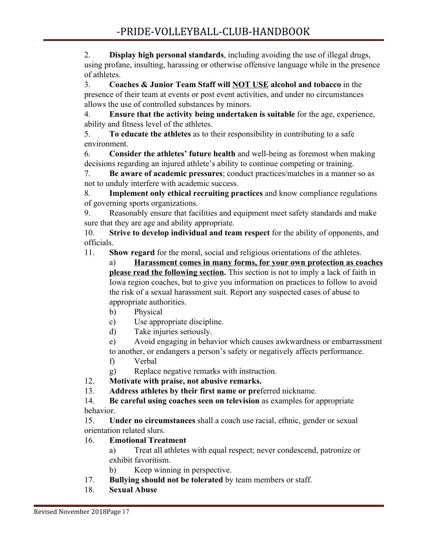2. **Display high personal standards**, including avoiding the use of illegal drugs, using profane, insulting, harassing or otherwise offensive language while in the presence of athletes.

3. **Coaches & Junior Team Staff will NOT USE alcohol and tobacco** in the presence of their team at events or post event activities, and under no circumstances allows the use of controlled substances by minors.

4. **Ensure that the activity being undertaken is suitable** for the age, experience, ability and fitness level of the athletes.

5. **To educate the athletes** as to their responsibility in contributing to a safe environment.

6. **Consider the athletes' future health** and well-being as foremost when making decisions regarding an injured athlete's ability to continue competing or training.

7. **Be aware of academic pressures**; conduct practices/matches in a manner so as not to unduly interfere with academic success.

8. **Implement only ethical recruiting practices** and know compliance regulations of governing sports organizations.

9. Reasonably ensure that facilities and equipment meet safety standards and make sure that they are age and ability appropriate.

10. **Strive to develop individual and team respect** for the ability of opponents, and officials.

11. **Show regard** for the moral, social and religious orientations of the athletes.

a) **Harassment comes in many forms, for your own protection as coaches please read the following section.** This section is not to imply a lack of faith in Iowa region coaches, but to give you information on practices to follow to avoid the risk of a sexual harassment suit. Report any suspected cases of abuse to appropriate authorities.

- b) Physical
- c) Use appropriate discipline.
- d) Take injuries seriously.

e) Avoid engaging in behavior which causes awkwardness or embarrassment to another, or endangers a person's safety or negatively affects performance.

f) Verbal

g) Replace negative remarks with instruction.

- 12. **Motivate with praise, not abusive remarks.**
- 13. **Address athletes by their first name or pre**ferred nickname.

14. **Be careful using coaches seen on television** as examples for appropriate behavior.

15. **Under no circumstances** shall a coach use racial, ethnic, gender or sexual orientation related slurs.

# 16. **Emotional Treatment**

a) Treat all athletes with equal respect; never condescend, patronize or exhibit favoritism.

- b) Keep winning in perspective.
- 17. **Bullying should not be tolerated** by team members or staff.
- 18. **Sexual Abuse**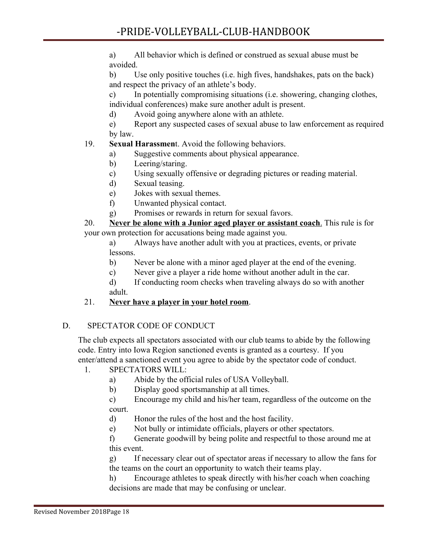a) All behavior which is defined or construed as sexual abuse must be avoided.

b) Use only positive touches (i.e. high fives, handshakes, pats on the back) and respect the privacy of an athlete's body.

c) In potentially compromising situations (i.e. showering, changing clothes, individual conferences) make sure another adult is present.

d) Avoid going anywhere alone with an athlete.

e) Report any suspected cases of sexual abuse to law enforcement as required by law.

# 19. **Sexual Harassmen**t. Avoid the following behaviors.

- a) Suggestive comments about physical appearance.
- b) Leering/staring.
- c) Using sexually offensive or degrading pictures or reading material.
- d) Sexual teasing.
- e) Jokes with sexual themes.
- f) Unwanted physical contact.
- g) Promises or rewards in return for sexual favors.

20. **Never be alone with a Junior aged player or assistant coach**. This rule is for your own protection for accusations being made against you.

a) Always have another adult with you at practices, events, or private lessons.

- b) Never be alone with a minor aged player at the end of the evening.
- c) Never give a player a ride home without another adult in the car.
- d) If conducting room checks when traveling always do so with another adult.

# 21. **Never have a player in your hotel room**.

# D. SPECTATOR CODE OF CONDUCT

The club expects all spectators associated with our club teams to abide by the following code. Entry into Iowa Region sanctioned events is granted as a courtesy. If you enter/attend a sanctioned event you agree to abide by the spectator code of conduct.

- 1. SPECTATORS WILL:
	- a) Abide by the official rules of USA Volleyball.
	- b) Display good sportsmanship at all times.
	- c) Encourage my child and his/her team, regardless of the outcome on the court.
	- d) Honor the rules of the host and the host facility.
	- e) Not bully or intimidate officials, players or other spectators.

f) Generate goodwill by being polite and respectful to those around me at this event.

g) If necessary clear out of spectator areas if necessary to allow the fans for the teams on the court an opportunity to watch their teams play.

h) Encourage athletes to speak directly with his/her coach when coaching decisions are made that may be confusing or unclear.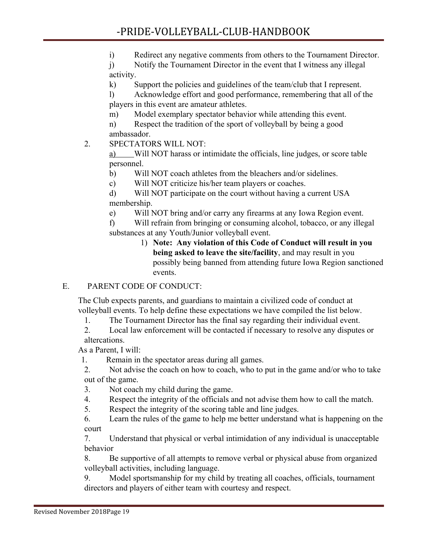i) Redirect any negative comments from others to the Tournament Director.

j) Notify the Tournament Director in the event that I witness any illegal activity.

k) Support the policies and guidelines of the team/club that I represent.

l) Acknowledge effort and good performance, remembering that all of the players in this event are amateur athletes.

m) Model exemplary spectator behavior while attending this event.

n) Respect the tradition of the sport of volleyball by being a good ambassador.

# 2. SPECTATORS WILL NOT:

a) Will NOT harass or intimidate the officials, line judges, or score table personnel.

b) Will NOT coach athletes from the bleachers and/or sidelines.

c) Will NOT criticize his/her team players or coaches.

d) Will NOT participate on the court without having a current USA membership.

e) Will NOT bring and/or carry any firearms at any Iowa Region event.

f) Will refrain from bringing or consuming alcohol, tobacco, or any illegal substances at any Youth/Junior volleyball event.

1) **Note: Any violation of this Code of Conduct will result in you being asked to leave the site/facility**, and may result in you possibly being banned from attending future Iowa Region sanctioned events.

# E. PARENT CODE OF CONDUCT:

The Club expects parents, and guardians to maintain a civilized code of conduct at volleyball events. To help define these expectations we have compiled the list below.

1. The Tournament Director has the final say regarding their individual event.

2. Local law enforcement will be contacted if necessary to resolve any disputes or altercations.

As a Parent, I will:

1. Remain in the spectator areas during all games.

2. Not advise the coach on how to coach, who to put in the game and/or who to take out of the game.

3. Not coach my child during the game.

4. Respect the integrity of the officials and not advise them how to call the match.

5. Respect the integrity of the scoring table and line judges.

6. Learn the rules of the game to help me better understand what is happening on the court

7. Understand that physical or verbal intimidation of any individual is unacceptable behavior

8. Be supportive of all attempts to remove verbal or physical abuse from organized volleyball activities, including language.

9. Model sportsmanship for my child by treating all coaches, officials, tournament directors and players of either team with courtesy and respect.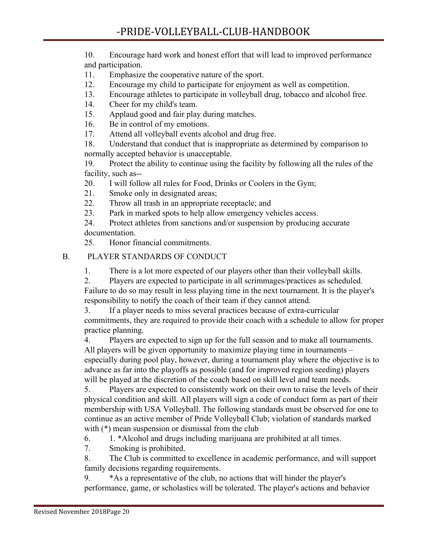10. Encourage hard work and honest effort that will lead to improved performance and participation.

- 11. Emphasize the cooperative nature of the sport.
- 12. Encourage my child to participate for enjoyment as well as competition.
- 13. Encourage athletes to participate in volleyball drug, tobacco and alcohol free.
- 14. Cheer for my child's team.
- 15. Applaud good and fair play during matches.
- 16. Be in control of my emotions.
- 17. Attend all volleyball events alcohol and drug free.

18. Understand that conduct that is inappropriate as determined by comparison to normally accepted behavior is unacceptable.

19. Protect the ability to continue using the facility by following all the rules of the facility, such as--

20. I will follow all rules for Food, Drinks or Coolers in the Gym;

- 21. Smoke only in designated areas;
- 22. Throw all trash in an appropriate receptacle; and
- 23. Park in marked spots to help allow emergency vehicles access.

24. Protect athletes from sanctions and/or suspension by producing accurate documentation.

25. Honor financial commitments.

#### B. PLAYER STANDARDS OF CONDUCT

1. There is a lot more expected of our players other than their volleyball skills.

2. Players are expected to participate in all scrimmages/practices as scheduled. Failure to do so may result in less playing time in the next tournament. It is the player's responsibility to notify the coach of their team if they cannot attend.

3. If a player needs to miss several practices because of extra-curricular commitments, they are required to provide their coach with a schedule to allow for proper practice planning.

4. Players are expected to sign up for the full season and to make all tournaments. All players will be given opportunity to maximize playing time in tournaments – especially during pool play, however, during a tournament play where the objective is to advance as far into the playoffs as possible (and for improved region seeding) players will be played at the discretion of the coach based on skill level and team needs.

5. Players are expected to consistently work on their own to raise the levels of their physical condition and skill. All players will sign a code of conduct form as part of their membership with USA Volleyball. The following standards must be observed for one to continue as an active member of Pride Volleyball Club; violation of standards marked with  $(*)$  mean suspension or dismissal from the club

6. 1. \*Alcohol and drugs including marijuana are prohibited at all times.

7. Smoking is prohibited.

8. The Club is committed to excellence in academic performance, and will support family decisions regarding requirements.

9. \*As a representative of the club, no actions that will hinder the player's performance, game, or scholastics will be tolerated. The player's actions and behavior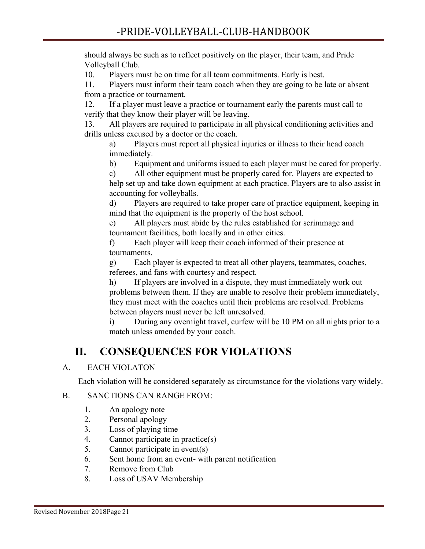should always be such as to reflect positively on the player, their team, and Pride Volleyball Club.

10. Players must be on time for all team commitments. Early is best.

11. Players must inform their team coach when they are going to be late or absent from a practice or tournament.

12. If a player must leave a practice or tournament early the parents must call to verify that they know their player will be leaving.

13. All players are required to participate in all physical conditioning activities and drills unless excused by a doctor or the coach.

a) Players must report all physical injuries or illness to their head coach immediately.

b) Equipment and uniforms issued to each player must be cared for properly.

c) All other equipment must be properly cared for. Players are expected to help set up and take down equipment at each practice. Players are to also assist in accounting for volleyballs.

d) Players are required to take proper care of practice equipment, keeping in mind that the equipment is the property of the host school.

e) All players must abide by the rules established for scrimmage and tournament facilities, both locally and in other cities.

f) Each player will keep their coach informed of their presence at tournaments.

g) Each player is expected to treat all other players, teammates, coaches, referees, and fans with courtesy and respect.

h) If players are involved in a dispute, they must immediately work out problems between them. If they are unable to resolve their problem immediately, they must meet with the coaches until their problems are resolved. Problems between players must never be left unresolved.

i) During any overnight travel, curfew will be 10 PM on all nights prior to a match unless amended by your coach.

# **II. CONSEQUENCES FOR VIOLATIONS**

# A. EACH VIOLATON

Each violation will be considered separately as circumstance for the violations vary widely.

### B. SANCTIONS CAN RANGE FROM:

- 1. An apology note
- 2. Personal apology
- 3. Loss of playing time
- 4. Cannot participate in practice(s)
- 5. Cannot participate in event(s)
- 6. Sent home from an event- with parent notification
- 7. Remove from Club
- 8. Loss of USAV Membership